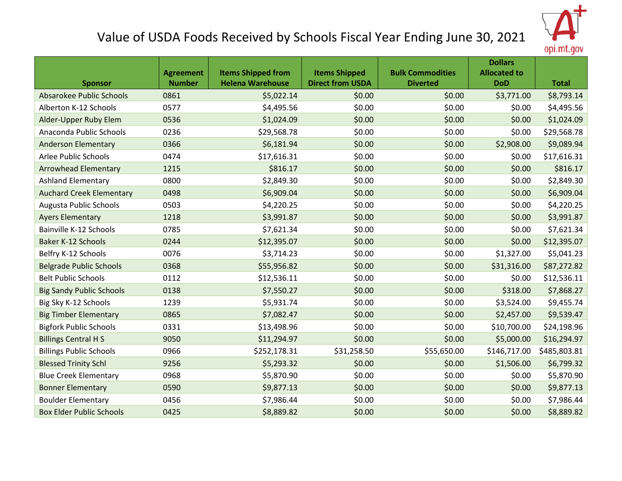

## Value of USDA Foods Received by Schools Fiscal Year Ending June 30, 2021

|                                 |                  |                           |                         |                         | <b>Dollars</b>      |              |
|---------------------------------|------------------|---------------------------|-------------------------|-------------------------|---------------------|--------------|
|                                 | <b>Agreement</b> | <b>Items Shipped from</b> | <b>Items Shipped</b>    | <b>Bulk Commodities</b> | <b>Allocated to</b> |              |
| <b>Sponsor</b>                  | <b>Number</b>    | <b>Helena Warehouse</b>   | <b>Direct from USDA</b> | <b>Diverted</b>         | <b>DoD</b>          | <b>Total</b> |
| Absarokee Public Schools        | 0861             | \$5,022.14                | \$0.00                  | \$0.00                  | \$3,771.00          | \$8,793.14   |
| Alberton K-12 Schools           | 0577             | \$4,495.56                | \$0.00                  | \$0.00                  | \$0.00              | \$4,495.56   |
| Alder-Upper Ruby Elem           | 0536             | \$1,024.09                | \$0.00                  | \$0.00                  | \$0.00              | \$1,024.09   |
| Anaconda Public Schools         | 0236             | \$29,568.78               | \$0.00                  | \$0.00                  | \$0.00              | \$29,568.78  |
| <b>Anderson Elementary</b>      | 0366             | \$6,181.94                | \$0.00                  | \$0.00                  | \$2,908.00          | \$9,089.94   |
| Arlee Public Schools            | 0474             | \$17,616.31               | \$0.00                  | \$0.00                  | \$0.00              | \$17,616.31  |
| <b>Arrowhead Elementary</b>     | 1215             | \$816.17                  | \$0.00                  | \$0.00                  | \$0.00              | \$816.17     |
| <b>Ashland Elementary</b>       | 0800             | \$2,849.30                | \$0.00                  | \$0.00                  | \$0.00              | \$2,849.30   |
| <b>Auchard Creek Elementary</b> | 0498             | \$6,909.04                | \$0.00                  | \$0.00                  | \$0.00              | \$6,909.04   |
| Augusta Public Schools          | 0503             | \$4,220.25                | \$0.00                  | \$0.00                  | \$0.00              | \$4,220.25   |
| <b>Ayers Elementary</b>         | 1218             | \$3,991.87                | \$0.00                  | \$0.00                  | \$0.00              | \$3,991.87   |
| Bainville K-12 Schools          | 0785             | \$7,621.34                | \$0.00                  | \$0.00                  | \$0.00              | \$7,621.34   |
| Baker K-12 Schools              | 0244             | \$12,395.07               | \$0.00                  | \$0.00                  | \$0.00              | \$12,395.07  |
| Belfry K-12 Schools             | 0076             | \$3,714.23                | \$0.00                  | \$0.00                  | \$1,327.00          | \$5,041.23   |
| <b>Belgrade Public Schools</b>  | 0368             | \$55,956.82               | \$0.00                  | \$0.00                  | \$31,316.00         | \$87,272.82  |
| <b>Belt Public Schools</b>      | 0112             | \$12,536.11               | \$0.00                  | \$0.00                  | \$0.00              | \$12,536.11  |
| <b>Big Sandy Public Schools</b> | 0138             | \$7,550.27                | \$0.00                  | \$0.00                  | \$318.00            | \$7,868.27   |
| Big Sky K-12 Schools            | 1239             | \$5,931.74                | \$0.00                  | \$0.00                  | \$3,524.00          | \$9,455.74   |
| <b>Big Timber Elementary</b>    | 0865             | \$7,082.47                | \$0.00                  | \$0.00                  | \$2,457.00          | \$9,539.47   |
| <b>Bigfork Public Schools</b>   | 0331             | \$13,498.96               | \$0.00                  | \$0.00                  | \$10,700.00         | \$24,198.96  |
| <b>Billings Central H S</b>     | 9050             | \$11,294.97               | \$0.00                  | \$0.00                  | \$5,000.00          | \$16,294.97  |
| <b>Billings Public Schools</b>  | 0966             | \$252,178.31              | \$31,258.50             | \$55,650.00             | \$146,717.00        | \$485,803.81 |
| <b>Blessed Trinity Schl</b>     | 9256             | \$5,293.32                | \$0.00                  | \$0.00                  | \$1,506.00          | \$6,799.32   |
| <b>Blue Creek Elementary</b>    | 0968             | \$5,870.90                | \$0.00                  | \$0.00                  | \$0.00              | \$5,870.90   |
| <b>Bonner Elementary</b>        | 0590             | \$9,877.13                | \$0.00                  | \$0.00                  | \$0.00              | \$9,877.13   |
| <b>Boulder Elementary</b>       | 0456             | \$7,986.44                | \$0.00                  | \$0.00                  | \$0.00              | \$7,986.44   |
| <b>Box Elder Public Schools</b> | 0425             | \$8,889.82                | \$0.00                  | \$0.00                  | \$0.00              | \$8,889.82   |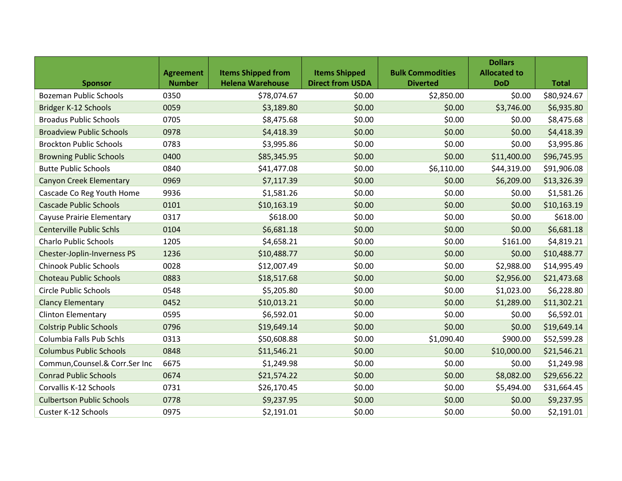|                                    |                  |                           |                         |                         | <b>Dollars</b>      |              |
|------------------------------------|------------------|---------------------------|-------------------------|-------------------------|---------------------|--------------|
|                                    | <b>Agreement</b> | <b>Items Shipped from</b> | <b>Items Shipped</b>    | <b>Bulk Commodities</b> | <b>Allocated to</b> |              |
| <b>Sponsor</b>                     | <b>Number</b>    | <b>Helena Warehouse</b>   | <b>Direct from USDA</b> | <b>Diverted</b>         | <b>DoD</b>          | <b>Total</b> |
| <b>Bozeman Public Schools</b>      | 0350             | \$78,074.67               | \$0.00                  | \$2,850.00              | \$0.00              | \$80,924.67  |
| Bridger K-12 Schools               | 0059             | \$3,189.80                | \$0.00                  | \$0.00                  | \$3,746.00          | \$6,935.80   |
| <b>Broadus Public Schools</b>      | 0705             | \$8,475.68                | \$0.00                  | \$0.00                  | \$0.00              | \$8,475.68   |
| <b>Broadview Public Schools</b>    | 0978             | \$4,418.39                | \$0.00                  | \$0.00                  | \$0.00              | \$4,418.39   |
| <b>Brockton Public Schools</b>     | 0783             | \$3,995.86                | \$0.00                  | \$0.00                  | \$0.00              | \$3,995.86   |
| <b>Browning Public Schools</b>     | 0400             | \$85,345.95               | \$0.00                  | \$0.00                  | \$11,400.00         | \$96,745.95  |
| <b>Butte Public Schools</b>        | 0840             | \$41,477.08               | \$0.00                  | \$6,110.00              | \$44,319.00         | \$91,906.08  |
| <b>Canyon Creek Elementary</b>     | 0969             | \$7,117.39                | \$0.00                  | \$0.00                  | \$6,209.00          | \$13,326.39  |
| Cascade Co Reg Youth Home          | 9936             | \$1,581.26                | \$0.00                  | \$0.00                  | \$0.00              | \$1,581.26   |
| <b>Cascade Public Schools</b>      | 0101             | \$10,163.19               | \$0.00                  | \$0.00                  | \$0.00              | \$10,163.19  |
| <b>Cayuse Prairie Elementary</b>   | 0317             | \$618.00                  | \$0.00                  | \$0.00                  | \$0.00              | \$618.00     |
| <b>Centerville Public Schls</b>    | 0104             | \$6,681.18                | \$0.00                  | \$0.00                  | \$0.00              | \$6,681.18   |
| <b>Charlo Public Schools</b>       | 1205             | \$4,658.21                | \$0.00                  | \$0.00                  | \$161.00            | \$4,819.21   |
| <b>Chester-Joplin-Inverness PS</b> | 1236             | \$10,488.77               | \$0.00                  | \$0.00                  | \$0.00              | \$10,488.77  |
| <b>Chinook Public Schools</b>      | 0028             | \$12,007.49               | \$0.00                  | \$0.00                  | \$2,988.00          | \$14,995.49  |
| <b>Choteau Public Schools</b>      | 0883             | \$18,517.68               | \$0.00                  | \$0.00                  | \$2,956.00          | \$21,473.68  |
| <b>Circle Public Schools</b>       | 0548             | \$5,205.80                | \$0.00                  | \$0.00                  | \$1,023.00          | \$6,228.80   |
| <b>Clancy Elementary</b>           | 0452             | \$10,013.21               | \$0.00                  | \$0.00                  | \$1,289.00          | \$11,302.21  |
| <b>Clinton Elementary</b>          | 0595             | \$6,592.01                | \$0.00                  | \$0.00                  | \$0.00              | \$6,592.01   |
| <b>Colstrip Public Schools</b>     | 0796             | \$19,649.14               | \$0.00                  | \$0.00                  | \$0.00              | \$19,649.14  |
| Columbia Falls Pub Schls           | 0313             | \$50,608.88               | \$0.00                  | \$1,090.40              | \$900.00            | \$52,599.28  |
| <b>Columbus Public Schools</b>     | 0848             | \$11,546.21               | \$0.00                  | \$0.00                  | \$10,000.00         | \$21,546.21  |
| Commun, Counsel. & Corr. Ser Inc   | 6675             | \$1,249.98                | \$0.00                  | \$0.00                  | \$0.00              | \$1,249.98   |
| <b>Conrad Public Schools</b>       | 0674             | \$21,574.22               | \$0.00                  | \$0.00                  | \$8,082.00          | \$29,656.22  |
| Corvallis K-12 Schools             | 0731             | \$26,170.45               | \$0.00                  | \$0.00                  | \$5,494.00          | \$31,664.45  |
| <b>Culbertson Public Schools</b>   | 0778             | \$9,237.95                | \$0.00                  | \$0.00                  | \$0.00              | \$9,237.95   |
| <b>Custer K-12 Schools</b>         | 0975             | \$2,191.01                | \$0.00                  | \$0.00                  | \$0.00              | \$2,191.01   |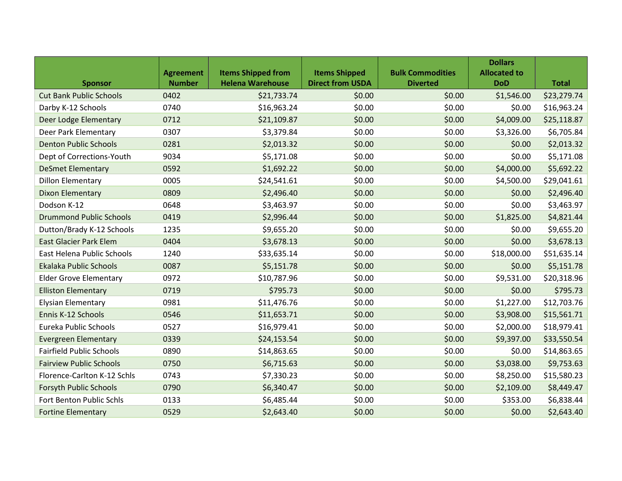|                                 |                  |                           |                         |                         | <b>Dollars</b>      |              |
|---------------------------------|------------------|---------------------------|-------------------------|-------------------------|---------------------|--------------|
|                                 | <b>Agreement</b> | <b>Items Shipped from</b> | <b>Items Shipped</b>    | <b>Bulk Commodities</b> | <b>Allocated to</b> |              |
| <b>Sponsor</b>                  | <b>Number</b>    | <b>Helena Warehouse</b>   | <b>Direct from USDA</b> | <b>Diverted</b>         | <b>DoD</b>          | <b>Total</b> |
| <b>Cut Bank Public Schools</b>  | 0402             | \$21,733.74               | \$0.00                  | \$0.00                  | \$1,546.00          | \$23,279.74  |
| Darby K-12 Schools              | 0740             | \$16,963.24               | \$0.00                  | \$0.00                  | \$0.00              | \$16,963.24  |
| Deer Lodge Elementary           | 0712             | \$21,109.87               | \$0.00                  | \$0.00                  | \$4,009.00          | \$25,118.87  |
| Deer Park Elementary            | 0307             | \$3,379.84                | \$0.00                  | \$0.00                  | \$3,326.00          | \$6,705.84   |
| <b>Denton Public Schools</b>    | 0281             | \$2,013.32                | \$0.00                  | \$0.00                  | \$0.00              | \$2,013.32   |
| Dept of Corrections-Youth       | 9034             | \$5,171.08                | \$0.00                  | \$0.00                  | \$0.00              | \$5,171.08   |
| <b>DeSmet Elementary</b>        | 0592             | \$1,692.22                | \$0.00                  | \$0.00                  | \$4,000.00          | \$5,692.22   |
| <b>Dillon Elementary</b>        | 0005             | \$24,541.61               | \$0.00                  | \$0.00                  | \$4,500.00          | \$29,041.61  |
| <b>Dixon Elementary</b>         | 0809             | \$2,496.40                | \$0.00                  | \$0.00                  | \$0.00              | \$2,496.40   |
| Dodson K-12                     | 0648             | \$3,463.97                | \$0.00                  | \$0.00                  | \$0.00              | \$3,463.97   |
| <b>Drummond Public Schools</b>  | 0419             | \$2,996.44                | \$0.00                  | \$0.00                  | \$1,825.00          | \$4,821.44   |
| Dutton/Brady K-12 Schools       | 1235             | \$9,655.20                | \$0.00                  | \$0.00                  | \$0.00              | \$9,655.20   |
| <b>East Glacier Park Elem</b>   | 0404             | \$3,678.13                | \$0.00                  | \$0.00                  | \$0.00              | \$3,678.13   |
| East Helena Public Schools      | 1240             | \$33,635.14               | \$0.00                  | \$0.00                  | \$18,000.00         | \$51,635.14  |
| <b>Ekalaka Public Schools</b>   | 0087             | \$5,151.78                | \$0.00                  | \$0.00                  | \$0.00              | \$5,151.78   |
| <b>Elder Grove Elementary</b>   | 0972             | \$10,787.96               | \$0.00                  | \$0.00                  | \$9,531.00          | \$20,318.96  |
| <b>Elliston Elementary</b>      | 0719             | \$795.73                  | \$0.00                  | \$0.00                  | \$0.00              | \$795.73     |
| <b>Elysian Elementary</b>       | 0981             | \$11,476.76               | \$0.00                  | \$0.00                  | \$1,227.00          | \$12,703.76  |
| Ennis K-12 Schools              | 0546             | \$11,653.71               | \$0.00                  | \$0.00                  | \$3,908.00          | \$15,561.71  |
| Eureka Public Schools           | 0527             | \$16,979.41               | \$0.00                  | \$0.00                  | \$2,000.00          | \$18,979.41  |
| <b>Evergreen Elementary</b>     | 0339             | \$24,153.54               | \$0.00                  | \$0.00                  | \$9,397.00          | \$33,550.54  |
| <b>Fairfield Public Schools</b> | 0890             | \$14,863.65               | \$0.00                  | \$0.00                  | \$0.00              | \$14,863.65  |
| <b>Fairview Public Schools</b>  | 0750             | \$6,715.63                | \$0.00                  | \$0.00                  | \$3,038.00          | \$9,753.63   |
| Florence-Carlton K-12 Schls     | 0743             | \$7,330.23                | \$0.00                  | \$0.00                  | \$8,250.00          | \$15,580.23  |
| <b>Forsyth Public Schools</b>   | 0790             | \$6,340.47                | \$0.00                  | \$0.00                  | \$2,109.00          | \$8,449.47   |
| Fort Benton Public Schls        | 0133             | \$6,485.44                | \$0.00                  | \$0.00                  | \$353.00            | \$6,838.44   |
| <b>Fortine Elementary</b>       | 0529             | \$2,643.40                | \$0.00                  | \$0.00                  | \$0.00              | \$2,643.40   |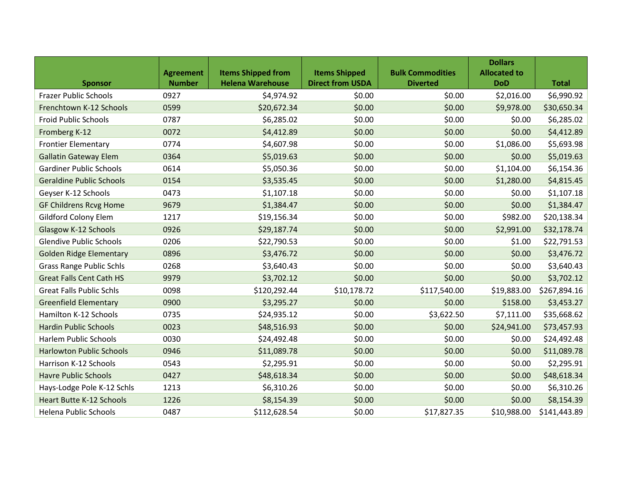|                                 |                  |                           |                         |                         | <b>Dollars</b>      |              |
|---------------------------------|------------------|---------------------------|-------------------------|-------------------------|---------------------|--------------|
|                                 | <b>Agreement</b> | <b>Items Shipped from</b> | <b>Items Shipped</b>    | <b>Bulk Commodities</b> | <b>Allocated to</b> |              |
| <b>Sponsor</b>                  | <b>Number</b>    | <b>Helena Warehouse</b>   | <b>Direct from USDA</b> | <b>Diverted</b>         | <b>DoD</b>          | <b>Total</b> |
| <b>Frazer Public Schools</b>    | 0927             | \$4,974.92                | \$0.00                  | \$0.00                  | \$2,016.00          | \$6,990.92   |
| Frenchtown K-12 Schools         | 0599             | \$20,672.34               | \$0.00                  | \$0.00                  | \$9,978.00          | \$30,650.34  |
| <b>Froid Public Schools</b>     | 0787             | \$6,285.02                | \$0.00                  | \$0.00                  | \$0.00              | \$6,285.02   |
| Fromberg K-12                   | 0072             | \$4,412.89                | \$0.00                  | \$0.00                  | \$0.00              | \$4,412.89   |
| <b>Frontier Elementary</b>      | 0774             | \$4,607.98                | \$0.00                  | \$0.00                  | \$1,086.00          | \$5,693.98   |
| <b>Gallatin Gateway Elem</b>    | 0364             | \$5,019.63                | \$0.00                  | \$0.00                  | \$0.00              | \$5,019.63   |
| <b>Gardiner Public Schools</b>  | 0614             | \$5,050.36                | \$0.00                  | \$0.00                  | \$1,104.00          | \$6,154.36   |
| <b>Geraldine Public Schools</b> | 0154             | \$3,535.45                | \$0.00                  | \$0.00                  | \$1,280.00          | \$4,815.45   |
| Geyser K-12 Schools             | 0473             | \$1,107.18                | \$0.00                  | \$0.00                  | \$0.00              | \$1,107.18   |
| <b>GF Childrens Rcvg Home</b>   | 9679             | \$1,384.47                | \$0.00                  | \$0.00                  | \$0.00              | \$1,384.47   |
| Gildford Colony Elem            | 1217             | \$19,156.34               | \$0.00                  | \$0.00                  | \$982.00            | \$20,138.34  |
| Glasgow K-12 Schools            | 0926             | \$29,187.74               | \$0.00                  | \$0.00                  | \$2,991.00          | \$32,178.74  |
| <b>Glendive Public Schools</b>  | 0206             | \$22,790.53               | \$0.00                  | \$0.00                  | \$1.00              | \$22,791.53  |
| <b>Golden Ridge Elementary</b>  | 0896             | \$3,476.72                | \$0.00                  | \$0.00                  | \$0.00              | \$3,476.72   |
| <b>Grass Range Public Schls</b> | 0268             | \$3,640.43                | \$0.00                  | \$0.00                  | \$0.00              | \$3,640.43   |
| <b>Great Falls Cent Cath HS</b> | 9979             | \$3,702.12                | \$0.00                  | \$0.00                  | \$0.00              | \$3,702.12   |
| <b>Great Falls Public Schls</b> | 0098             | \$120,292.44              | \$10,178.72             | \$117,540.00            | \$19,883.00         | \$267,894.16 |
| <b>Greenfield Elementary</b>    | 0900             | \$3,295.27                | \$0.00                  | \$0.00                  | \$158.00            | \$3,453.27   |
| Hamilton K-12 Schools           | 0735             | \$24,935.12               | \$0.00                  | \$3,622.50              | \$7,111.00          | \$35,668.62  |
| <b>Hardin Public Schools</b>    | 0023             | \$48,516.93               | \$0.00                  | \$0.00                  | \$24,941.00         | \$73,457.93  |
| <b>Harlem Public Schools</b>    | 0030             | \$24,492.48               | \$0.00                  | \$0.00                  | \$0.00              | \$24,492.48  |
| <b>Harlowton Public Schools</b> | 0946             | \$11,089.78               | \$0.00                  | \$0.00                  | \$0.00              | \$11,089.78  |
| Harrison K-12 Schools           | 0543             | \$2,295.91                | \$0.00                  | \$0.00                  | \$0.00              | \$2,295.91   |
| <b>Havre Public Schools</b>     | 0427             | \$48,618.34               | \$0.00                  | \$0.00                  | \$0.00              | \$48,618.34  |
| Hays-Lodge Pole K-12 Schls      | 1213             | \$6,310.26                | \$0.00                  | \$0.00                  | \$0.00              | \$6,310.26   |
| <b>Heart Butte K-12 Schools</b> | 1226             | \$8,154.39                | \$0.00                  | \$0.00                  | \$0.00              | \$8,154.39   |
| <b>Helena Public Schools</b>    | 0487             | \$112,628.54              | \$0.00                  | \$17,827.35             | \$10,988.00         | \$141,443.89 |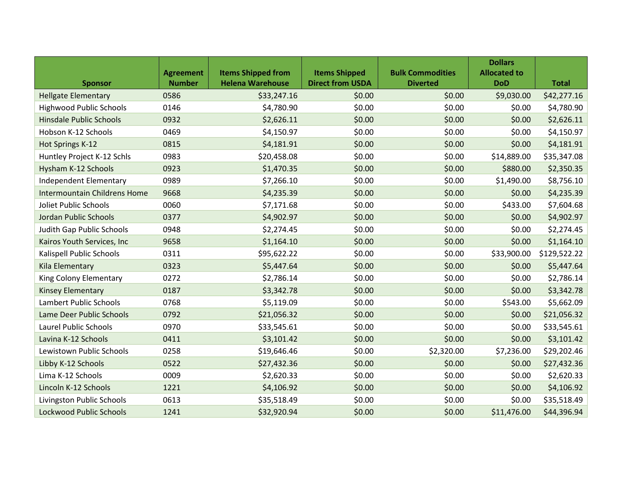|                                     |                  |                           |                         |                         | <b>Dollars</b>      |              |
|-------------------------------------|------------------|---------------------------|-------------------------|-------------------------|---------------------|--------------|
|                                     | <b>Agreement</b> | <b>Items Shipped from</b> | <b>Items Shipped</b>    | <b>Bulk Commodities</b> | <b>Allocated to</b> |              |
| <b>Sponsor</b>                      | <b>Number</b>    | <b>Helena Warehouse</b>   | <b>Direct from USDA</b> | <b>Diverted</b>         | <b>DoD</b>          | <b>Total</b> |
| <b>Hellgate Elementary</b>          | 0586             | \$33,247.16               | \$0.00                  | \$0.00                  | \$9,030.00          | \$42,277.16  |
| <b>Highwood Public Schools</b>      | 0146             | \$4,780.90                | \$0.00                  | \$0.00                  | \$0.00              | \$4,780.90   |
| <b>Hinsdale Public Schools</b>      | 0932             | \$2,626.11                | \$0.00                  | \$0.00                  | \$0.00              | \$2,626.11   |
| Hobson K-12 Schools                 | 0469             | \$4,150.97                | \$0.00                  | \$0.00                  | \$0.00              | \$4,150.97   |
| Hot Springs K-12                    | 0815             | \$4,181.91                | \$0.00                  | \$0.00                  | \$0.00              | \$4,181.91   |
| Huntley Project K-12 Schls          | 0983             | \$20,458.08               | \$0.00                  | \$0.00                  | \$14,889.00         | \$35,347.08  |
| Hysham K-12 Schools                 | 0923             | \$1,470.35                | \$0.00                  | \$0.00                  | \$880.00            | \$2,350.35   |
| Independent Elementary              | 0989             | \$7,266.10                | \$0.00                  | \$0.00                  | \$1,490.00          | \$8,756.10   |
| <b>Intermountain Childrens Home</b> | 9668             | \$4,235.39                | \$0.00                  | \$0.00                  | \$0.00              | \$4,235.39   |
| Joliet Public Schools               | 0060             | \$7,171.68                | \$0.00                  | \$0.00                  | \$433.00            | \$7,604.68   |
| Jordan Public Schools               | 0377             | \$4,902.97                | \$0.00                  | \$0.00                  | \$0.00              | \$4,902.97   |
| Judith Gap Public Schools           | 0948             | \$2,274.45                | \$0.00                  | \$0.00                  | \$0.00              | \$2,274.45   |
| Kairos Youth Services, Inc          | 9658             | \$1,164.10                | \$0.00                  | \$0.00                  | \$0.00              | \$1,164.10   |
| Kalispell Public Schools            | 0311             | \$95,622.22               | \$0.00                  | \$0.00                  | \$33,900.00         | \$129,522.22 |
| Kila Elementary                     | 0323             | \$5,447.64                | \$0.00                  | \$0.00                  | \$0.00              | \$5,447.64   |
| King Colony Elementary              | 0272             | \$2,786.14                | \$0.00                  | \$0.00                  | \$0.00              | \$2,786.14   |
| <b>Kinsey Elementary</b>            | 0187             | \$3,342.78                | \$0.00                  | \$0.00                  | \$0.00              | \$3,342.78   |
| Lambert Public Schools              | 0768             | \$5,119.09                | \$0.00                  | \$0.00                  | \$543.00            | \$5,662.09   |
| Lame Deer Public Schools            | 0792             | \$21,056.32               | \$0.00                  | \$0.00                  | \$0.00              | \$21,056.32  |
| <b>Laurel Public Schools</b>        | 0970             | \$33,545.61               | \$0.00                  | \$0.00                  | \$0.00              | \$33,545.61  |
| Lavina K-12 Schools                 | 0411             | \$3,101.42                | \$0.00                  | \$0.00                  | \$0.00              | \$3,101.42   |
| Lewistown Public Schools            | 0258             | \$19,646.46               | \$0.00                  | \$2,320.00              | \$7,236.00          | \$29,202.46  |
| Libby K-12 Schools                  | 0522             | \$27,432.36               | \$0.00                  | \$0.00                  | \$0.00              | \$27,432.36  |
| Lima K-12 Schools                   | 0009             | \$2,620.33                | \$0.00                  | \$0.00                  | \$0.00              | \$2,620.33   |
| Lincoln K-12 Schools                | 1221             | \$4,106.92                | \$0.00                  | \$0.00                  | \$0.00              | \$4,106.92   |
| Livingston Public Schools           | 0613             | \$35,518.49               | \$0.00                  | \$0.00                  | \$0.00              | \$35,518.49  |
| <b>Lockwood Public Schools</b>      | 1241             | \$32,920.94               | \$0.00                  | \$0.00                  | \$11,476.00         | \$44,396.94  |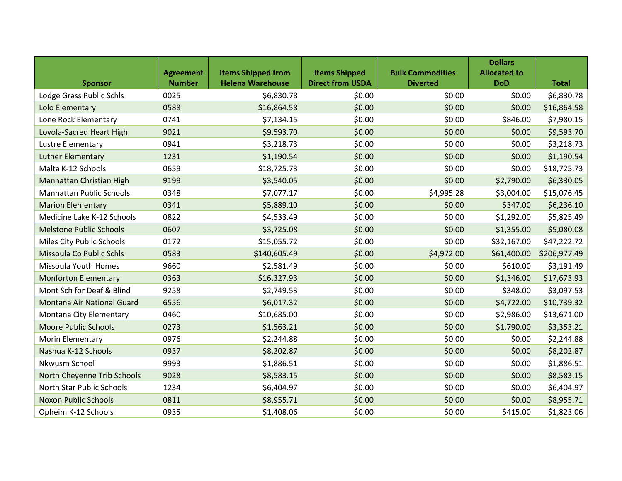|                                   |                  |                           |                         |                         | <b>Dollars</b>      |              |
|-----------------------------------|------------------|---------------------------|-------------------------|-------------------------|---------------------|--------------|
|                                   | <b>Agreement</b> | <b>Items Shipped from</b> | <b>Items Shipped</b>    | <b>Bulk Commodities</b> | <b>Allocated to</b> |              |
| <b>Sponsor</b>                    | <b>Number</b>    | <b>Helena Warehouse</b>   | <b>Direct from USDA</b> | <b>Diverted</b>         | <b>DoD</b>          | <b>Total</b> |
| Lodge Grass Public Schls          | 0025             | \$6,830.78                | \$0.00                  | \$0.00                  | \$0.00              | \$6,830.78   |
| Lolo Elementary                   | 0588             | \$16,864.58               | \$0.00                  | \$0.00                  | \$0.00              | \$16,864.58  |
| Lone Rock Elementary              | 0741             | \$7,134.15                | \$0.00                  | \$0.00                  | \$846.00            | \$7,980.15   |
| Loyola-Sacred Heart High          | 9021             | \$9,593.70                | \$0.00                  | \$0.00                  | \$0.00              | \$9,593.70   |
| Lustre Elementary                 | 0941             | \$3,218.73                | \$0.00                  | \$0.00                  | \$0.00              | \$3,218.73   |
| <b>Luther Elementary</b>          | 1231             | \$1,190.54                | \$0.00                  | \$0.00                  | \$0.00              | \$1,190.54   |
| Malta K-12 Schools                | 0659             | \$18,725.73               | \$0.00                  | \$0.00                  | \$0.00              | \$18,725.73  |
| Manhattan Christian High          | 9199             | \$3,540.05                | \$0.00                  | \$0.00                  | \$2,790.00          | \$6,330.05   |
| <b>Manhattan Public Schools</b>   | 0348             | \$7,077.17                | \$0.00                  | \$4,995.28              | \$3,004.00          | \$15,076.45  |
| <b>Marion Elementary</b>          | 0341             | \$5,889.10                | \$0.00                  | \$0.00                  | \$347.00            | \$6,236.10   |
| Medicine Lake K-12 Schools        | 0822             | \$4,533.49                | \$0.00                  | \$0.00                  | \$1,292.00          | \$5,825.49   |
| <b>Melstone Public Schools</b>    | 0607             | \$3,725.08                | \$0.00                  | \$0.00                  | \$1,355.00          | \$5,080.08   |
| Miles City Public Schools         | 0172             | \$15,055.72               | \$0.00                  | \$0.00                  | \$32,167.00         | \$47,222.72  |
| Missoula Co Public Schls          | 0583             | \$140,605.49              | \$0.00                  | \$4,972.00              | \$61,400.00         | \$206,977.49 |
| <b>Missoula Youth Homes</b>       | 9660             | \$2,581.49                | \$0.00                  | \$0.00                  | \$610.00            | \$3,191.49   |
| <b>Monforton Elementary</b>       | 0363             | \$16,327.93               | \$0.00                  | \$0.00                  | \$1,346.00          | \$17,673.93  |
| Mont Sch for Deaf & Blind         | 9258             | \$2,749.53                | \$0.00                  | \$0.00                  | \$348.00            | \$3,097.53   |
| <b>Montana Air National Guard</b> | 6556             | \$6,017.32                | \$0.00                  | \$0.00                  | \$4,722.00          | \$10,739.32  |
| Montana City Elementary           | 0460             | \$10,685.00               | \$0.00                  | \$0.00                  | \$2,986.00          | \$13,671.00  |
| <b>Moore Public Schools</b>       | 0273             | \$1,563.21                | \$0.00                  | \$0.00                  | \$1,790.00          | \$3,353.21   |
| Morin Elementary                  | 0976             | \$2,244.88                | \$0.00                  | \$0.00                  | \$0.00              | \$2,244.88   |
| Nashua K-12 Schools               | 0937             | \$8,202.87                | \$0.00                  | \$0.00                  | \$0.00              | \$8,202.87   |
| Nkwusm School                     | 9993             | \$1,886.51                | \$0.00                  | \$0.00                  | \$0.00              | \$1,886.51   |
| North Cheyenne Trib Schools       | 9028             | \$8,583.15                | \$0.00                  | \$0.00                  | \$0.00              | \$8,583.15   |
| North Star Public Schools         | 1234             | \$6,404.97                | \$0.00                  | \$0.00                  | \$0.00              | \$6,404.97   |
| <b>Noxon Public Schools</b>       | 0811             | \$8,955.71                | \$0.00                  | \$0.00                  | \$0.00              | \$8,955.71   |
| Opheim K-12 Schools               | 0935             | \$1,408.06                | \$0.00                  | \$0.00                  | \$415.00            | \$1,823.06   |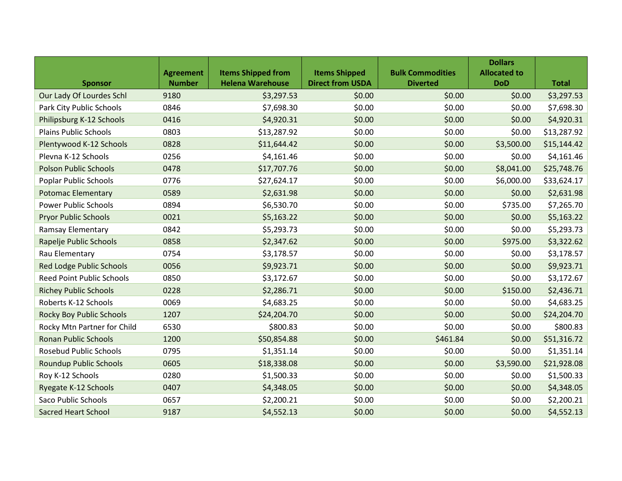|                                  |                  |                           |                         |                         | <b>Dollars</b>      |              |
|----------------------------------|------------------|---------------------------|-------------------------|-------------------------|---------------------|--------------|
|                                  | <b>Agreement</b> | <b>Items Shipped from</b> | <b>Items Shipped</b>    | <b>Bulk Commodities</b> | <b>Allocated to</b> |              |
| <b>Sponsor</b>                   | <b>Number</b>    | <b>Helena Warehouse</b>   | <b>Direct from USDA</b> | <b>Diverted</b>         | <b>DoD</b>          | <b>Total</b> |
| Our Lady Of Lourdes Schl         | 9180             | \$3,297.53                | \$0.00                  | \$0.00                  | \$0.00              | \$3,297.53   |
| Park City Public Schools         | 0846             | \$7,698.30                | \$0.00                  | \$0.00                  | \$0.00              | \$7,698.30   |
| Philipsburg K-12 Schools         | 0416             | \$4,920.31                | \$0.00                  | \$0.00                  | \$0.00              | \$4,920.31   |
| <b>Plains Public Schools</b>     | 0803             | \$13,287.92               | \$0.00                  | \$0.00                  | \$0.00              | \$13,287.92  |
| Plentywood K-12 Schools          | 0828             | \$11,644.42               | \$0.00                  | \$0.00                  | \$3,500.00          | \$15,144.42  |
| Plevna K-12 Schools              | 0256             | \$4,161.46                | \$0.00                  | \$0.00                  | \$0.00              | \$4,161.46   |
| <b>Polson Public Schools</b>     | 0478             | \$17,707.76               | \$0.00                  | \$0.00                  | \$8,041.00          | \$25,748.76  |
| Poplar Public Schools            | 0776             | \$27,624.17               | \$0.00                  | \$0.00                  | \$6,000.00          | \$33,624.17  |
| <b>Potomac Elementary</b>        | 0589             | \$2,631.98                | \$0.00                  | \$0.00                  | \$0.00              | \$2,631.98   |
| <b>Power Public Schools</b>      | 0894             | \$6,530.70                | \$0.00                  | \$0.00                  | \$735.00            | \$7,265.70   |
| <b>Pryor Public Schools</b>      | 0021             | \$5,163.22                | \$0.00                  | \$0.00                  | \$0.00              | \$5,163.22   |
| <b>Ramsay Elementary</b>         | 0842             | \$5,293.73                | \$0.00                  | \$0.00                  | \$0.00              | \$5,293.73   |
| Rapelje Public Schools           | 0858             | \$2,347.62                | \$0.00                  | \$0.00                  | \$975.00            | \$3,322.62   |
| Rau Elementary                   | 0754             | \$3,178.57                | \$0.00                  | \$0.00                  | \$0.00              | \$3,178.57   |
| <b>Red Lodge Public Schools</b>  | 0056             | \$9,923.71                | \$0.00                  | \$0.00                  | \$0.00              | \$9,923.71   |
| <b>Reed Point Public Schools</b> | 0850             | \$3,172.67                | \$0.00                  | \$0.00                  | \$0.00              | \$3,172.67   |
| <b>Richey Public Schools</b>     | 0228             | \$2,286.71                | \$0.00                  | \$0.00                  | \$150.00            | \$2,436.71   |
| Roberts K-12 Schools             | 0069             | \$4,683.25                | \$0.00                  | \$0.00                  | \$0.00              | \$4,683.25   |
| <b>Rocky Boy Public Schools</b>  | 1207             | \$24,204.70               | \$0.00                  | \$0.00                  | \$0.00              | \$24,204.70  |
| Rocky Mtn Partner for Child      | 6530             | \$800.83                  | \$0.00                  | \$0.00                  | \$0.00              | \$800.83     |
| <b>Ronan Public Schools</b>      | 1200             | \$50,854.88               | \$0.00                  | \$461.84                | \$0.00              | \$51,316.72  |
| <b>Rosebud Public Schools</b>    | 0795             | \$1,351.14                | \$0.00                  | \$0.00                  | \$0.00              | \$1,351.14   |
| <b>Roundup Public Schools</b>    | 0605             | \$18,338.08               | \$0.00                  | \$0.00                  | \$3,590.00          | \$21,928.08  |
| Roy K-12 Schools                 | 0280             | \$1,500.33                | \$0.00                  | \$0.00                  | \$0.00              | \$1,500.33   |
| Ryegate K-12 Schools             | 0407             | \$4,348.05                | \$0.00                  | \$0.00                  | \$0.00              | \$4,348.05   |
| Saco Public Schools              | 0657             | \$2,200.21                | \$0.00                  | \$0.00                  | \$0.00              | \$2,200.21   |
| <b>Sacred Heart School</b>       | 9187             | \$4,552.13                | \$0.00                  | \$0.00                  | \$0.00              | \$4,552.13   |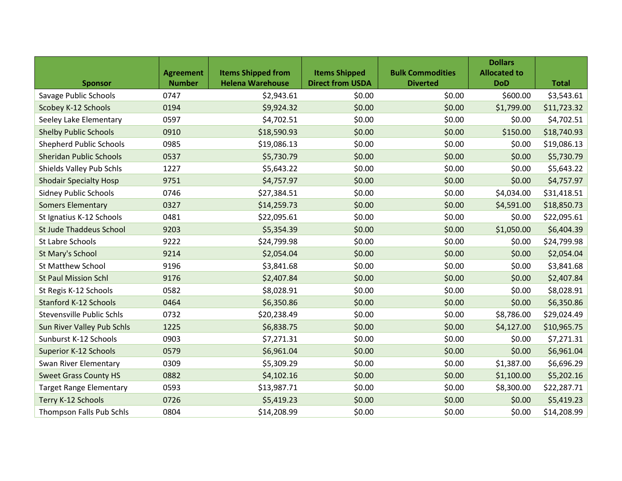|                                |                  |                           |                         |                         | <b>Dollars</b>      |              |
|--------------------------------|------------------|---------------------------|-------------------------|-------------------------|---------------------|--------------|
|                                | <b>Agreement</b> | <b>Items Shipped from</b> | <b>Items Shipped</b>    | <b>Bulk Commodities</b> | <b>Allocated to</b> |              |
| <b>Sponsor</b>                 | <b>Number</b>    | <b>Helena Warehouse</b>   | <b>Direct from USDA</b> | <b>Diverted</b>         | <b>DoD</b>          | <b>Total</b> |
| Savage Public Schools          | 0747             | \$2,943.61                | \$0.00                  | \$0.00                  | \$600.00            | \$3,543.61   |
| Scobey K-12 Schools            | 0194             | \$9,924.32                | \$0.00                  | \$0.00                  | \$1,799.00          | \$11,723.32  |
| Seeley Lake Elementary         | 0597             | \$4,702.51                | \$0.00                  | \$0.00                  | \$0.00              | \$4,702.51   |
| <b>Shelby Public Schools</b>   | 0910             | \$18,590.93               | \$0.00                  | \$0.00                  | \$150.00            | \$18,740.93  |
| <b>Shepherd Public Schools</b> | 0985             | \$19,086.13               | \$0.00                  | \$0.00                  | \$0.00              | \$19,086.13  |
| <b>Sheridan Public Schools</b> | 0537             | \$5,730.79                | \$0.00                  | \$0.00                  | \$0.00              | \$5,730.79   |
| Shields Valley Pub Schls       | 1227             | \$5,643.22                | \$0.00                  | \$0.00                  | \$0.00              | \$5,643.22   |
| <b>Shodair Specialty Hosp</b>  | 9751             | \$4,757.97                | \$0.00                  | \$0.00                  | \$0.00              | \$4,757.97   |
| <b>Sidney Public Schools</b>   | 0746             | \$27,384.51               | \$0.00                  | \$0.00                  | \$4,034.00          | \$31,418.51  |
| <b>Somers Elementary</b>       | 0327             | \$14,259.73               | \$0.00                  | \$0.00                  | \$4,591.00          | \$18,850.73  |
| St Ignatius K-12 Schools       | 0481             | \$22,095.61               | \$0.00                  | \$0.00                  | \$0.00              | \$22,095.61  |
| <b>St Jude Thaddeus School</b> | 9203             | \$5,354.39                | \$0.00                  | \$0.00                  | \$1,050.00          | \$6,404.39   |
| St Labre Schools               | 9222             | \$24,799.98               | \$0.00                  | \$0.00                  | \$0.00              | \$24,799.98  |
| St Mary's School               | 9214             | \$2,054.04                | \$0.00                  | \$0.00                  | \$0.00              | \$2,054.04   |
| <b>St Matthew School</b>       | 9196             | \$3,841.68                | \$0.00                  | \$0.00                  | \$0.00              | \$3,841.68   |
| <b>St Paul Mission Schl</b>    | 9176             | \$2,407.84                | \$0.00                  | \$0.00                  | \$0.00              | \$2,407.84   |
| St Regis K-12 Schools          | 0582             | \$8,028.91                | \$0.00                  | \$0.00                  | \$0.00              | \$8,028.91   |
| <b>Stanford K-12 Schools</b>   | 0464             | \$6,350.86                | \$0.00                  | \$0.00                  | \$0.00              | \$6,350.86   |
| Stevensville Public Schls      | 0732             | \$20,238.49               | \$0.00                  | \$0.00                  | \$8,786.00          | \$29,024.49  |
| Sun River Valley Pub Schls     | 1225             | \$6,838.75                | \$0.00                  | \$0.00                  | \$4,127.00          | \$10,965.75  |
| Sunburst K-12 Schools          | 0903             | \$7,271.31                | \$0.00                  | \$0.00                  | \$0.00              | \$7,271.31   |
| <b>Superior K-12 Schools</b>   | 0579             | \$6,961.04                | \$0.00                  | \$0.00                  | \$0.00              | \$6,961.04   |
| Swan River Elementary          | 0309             | \$5,309.29                | \$0.00                  | \$0.00                  | \$1,387.00          | \$6,696.29   |
| <b>Sweet Grass County HS</b>   | 0882             | \$4,102.16                | \$0.00                  | \$0.00                  | \$1,100.00          | \$5,202.16   |
| <b>Target Range Elementary</b> | 0593             | \$13,987.71               | \$0.00                  | \$0.00                  | \$8,300.00          | \$22,287.71  |
| Terry K-12 Schools             | 0726             | \$5,419.23                | \$0.00                  | \$0.00                  | \$0.00              | \$5,419.23   |
| Thompson Falls Pub Schls       | 0804             | \$14,208.99               | \$0.00                  | \$0.00                  | \$0.00              | \$14,208.99  |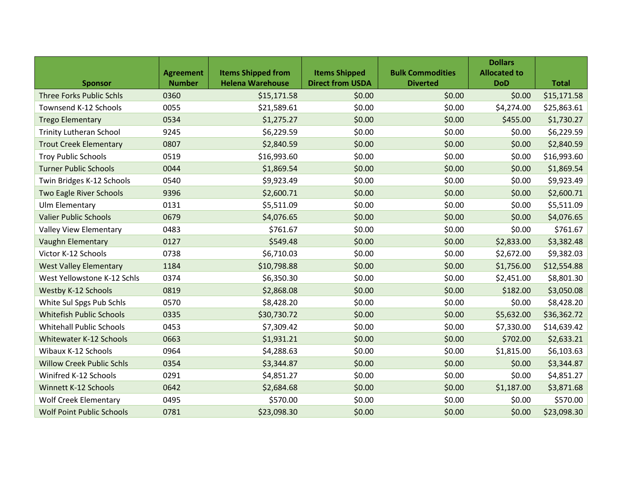|                                  |                  |                           |                         |                         | <b>Dollars</b>      |              |
|----------------------------------|------------------|---------------------------|-------------------------|-------------------------|---------------------|--------------|
|                                  | <b>Agreement</b> | <b>Items Shipped from</b> | <b>Items Shipped</b>    | <b>Bulk Commodities</b> | <b>Allocated to</b> |              |
| <b>Sponsor</b>                   | <b>Number</b>    | <b>Helena Warehouse</b>   | <b>Direct from USDA</b> | <b>Diverted</b>         | <b>DoD</b>          | <b>Total</b> |
| <b>Three Forks Public Schls</b>  | 0360             | \$15,171.58               | \$0.00                  | \$0.00                  | \$0.00              | \$15,171.58  |
| Townsend K-12 Schools            | 0055             | \$21,589.61               | \$0.00                  | \$0.00                  | \$4,274.00          | \$25,863.61  |
| <b>Trego Elementary</b>          | 0534             | \$1,275.27                | \$0.00                  | \$0.00                  | \$455.00            | \$1,730.27   |
| <b>Trinity Lutheran School</b>   | 9245             | \$6,229.59                | \$0.00                  | \$0.00                  | \$0.00              | \$6,229.59   |
| <b>Trout Creek Elementary</b>    | 0807             | \$2,840.59                | \$0.00                  | \$0.00                  | \$0.00              | \$2,840.59   |
| <b>Troy Public Schools</b>       | 0519             | \$16,993.60               | \$0.00                  | \$0.00                  | \$0.00              | \$16,993.60  |
| <b>Turner Public Schools</b>     | 0044             | \$1,869.54                | \$0.00                  | \$0.00                  | \$0.00              | \$1,869.54   |
| Twin Bridges K-12 Schools        | 0540             | \$9,923.49                | \$0.00                  | \$0.00                  | \$0.00              | \$9,923.49   |
| Two Eagle River Schools          | 9396             | \$2,600.71                | \$0.00                  | \$0.00                  | \$0.00              | \$2,600.71   |
| Ulm Elementary                   | 0131             | \$5,511.09                | \$0.00                  | \$0.00                  | \$0.00              | \$5,511.09   |
| <b>Valier Public Schools</b>     | 0679             | \$4,076.65                | \$0.00                  | \$0.00                  | \$0.00              | \$4,076.65   |
| Valley View Elementary           | 0483             | \$761.67                  | \$0.00                  | \$0.00                  | \$0.00              | \$761.67     |
| <b>Vaughn Elementary</b>         | 0127             | \$549.48                  | \$0.00                  | \$0.00                  | \$2,833.00          | \$3,382.48   |
| Victor K-12 Schools              | 0738             | \$6,710.03                | \$0.00                  | \$0.00                  | \$2,672.00          | \$9,382.03   |
| <b>West Valley Elementary</b>    | 1184             | \$10,798.88               | \$0.00                  | \$0.00                  | \$1,756.00          | \$12,554.88  |
| West Yellowstone K-12 Schls      | 0374             | \$6,350.30                | \$0.00                  | \$0.00                  | \$2,451.00          | \$8,801.30   |
| <b>Westby K-12 Schools</b>       | 0819             | \$2,868.08                | \$0.00                  | \$0.00                  | \$182.00            | \$3,050.08   |
| White Sul Spgs Pub Schls         | 0570             | \$8,428.20                | \$0.00                  | \$0.00                  | \$0.00              | \$8,428.20   |
| <b>Whitefish Public Schools</b>  | 0335             | \$30,730.72               | \$0.00                  | \$0.00                  | \$5,632.00          | \$36,362.72  |
| <b>Whitehall Public Schools</b>  | 0453             | \$7,309.42                | \$0.00                  | \$0.00                  | \$7,330.00          | \$14,639.42  |
| <b>Whitewater K-12 Schools</b>   | 0663             | \$1,931.21                | \$0.00                  | \$0.00                  | \$702.00            | \$2,633.21   |
| Wibaux K-12 Schools              | 0964             | \$4,288.63                | \$0.00                  | \$0.00                  | \$1,815.00          | \$6,103.63   |
| <b>Willow Creek Public Schls</b> | 0354             | \$3,344.87                | \$0.00                  | \$0.00                  | \$0.00              | \$3,344.87   |
| Winifred K-12 Schools            | 0291             | \$4,851.27                | \$0.00                  | \$0.00                  | \$0.00              | \$4,851.27   |
| Winnett K-12 Schools             | 0642             | \$2,684.68                | \$0.00                  | \$0.00                  | \$1,187.00          | \$3,871.68   |
| <b>Wolf Creek Elementary</b>     | 0495             | \$570.00                  | \$0.00                  | \$0.00                  | \$0.00              | \$570.00     |
| <b>Wolf Point Public Schools</b> | 0781             | \$23,098.30               | \$0.00                  | \$0.00                  | \$0.00              | \$23,098.30  |